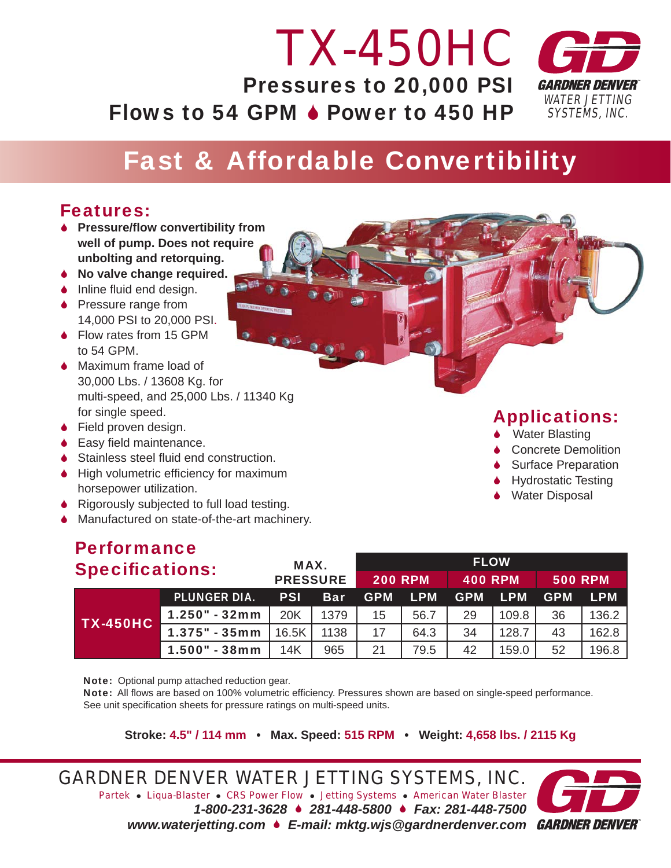#### *WATER JETTING SYSTEMS, INC. TX-450HC* Pressures to 20,000 PSI Flows to 54 GPM  $\bullet$  Power to 450 HP

## Fast & Affordable Convertibility

### Features:

- **↓ Pressure/flow convertibility from well of pump. Does not require unbolting and retorquing. and retorquing.**<br>● No valve change required.
- 
- $\bullet$  Inline fluid end design.
- **◆ Pressure range from** 14,000 PSI to 20,000 PSI.
- ◆ Flow rates from 15 GPM to 54 GPM.
- ◆ Maximum frame load of 30,000 Lbs. / 13608 Kg. for multi-speed, and 25,000 Lbs. / 11340 Kg for single speed.
- ◆ Field proven design.
- $\bullet$  Easy field maintenance.
- $\blacklozenge$  Stainless steel fluid end construction.
- $\blacklozenge$  High volumetric efficiency for maximum horsepower utilization.
- 6 Rigorously subjected to full load testing.
- ◆ Manufactured on state-of-the-art machinery.

# Performance

| <b>Specifications:</b> | MAX.                                                                                                    |                 | <b>FLOW</b> |            |                |                |       |                |       |  |  |  |
|------------------------|---------------------------------------------------------------------------------------------------------|-----------------|-------------|------------|----------------|----------------|-------|----------------|-------|--|--|--|
|                        |                                                                                                         | <b>PRESSURE</b> |             |            | <b>200 RPM</b> | <b>400 RPM</b> |       | <b>500 RPM</b> |       |  |  |  |
|                        | <b>PLUNGER DIA.</b><br><b>LPM</b><br><b>LPM</b><br><b>PSI</b><br><b>GPM</b><br><b>Bar</b><br><b>GPM</b> |                 | <b>GPM</b>  | <b>LPM</b> |                |                |       |                |       |  |  |  |
| <b>TX-450HC</b>        | 1.250" - 32mm                                                                                           | 20K             | 1379        | 15         | 56.7           | 29             | 109.8 | 36             | 136.2 |  |  |  |
|                        | $1.375" - 35mm$                                                                                         | 16.5K           | 1138        | 17         | 64.3           | 34             | 128.7 | 43             | 162.8 |  |  |  |
|                        | 1.500" - 38mm                                                                                           | 14K             | 965         | 21         | 79.5           | 42             | 159.0 | 52             | 196.8 |  |  |  |

Note: Optional pump attached reduction gear.

Note: All flows are based on 100% volumetric efficiency. Pressures shown are based on single-speed performance. See unit specification sheets for pressure ratings on multi-speed units.

**Stroke: 4.5" / 114 mm • Max. Speed: 515 RPM • Weight: 4,658 lbs. / 2115 Kg**

*GARDNER DENVER WATER JETTING SYSTEMS, INC. Partek* z *Liqua-Blaster* z *CRS Power Flow* z *Jetting Systems* z *American Water Blaster 1-800-231-3628* 6 *281-448-5800* 6 *Fax: 281-448-7500 www.waterjetting.com* 6 *E-mail: mktg.wjs@gardnerdenver.com*



### Applications:

- **↓** Water Blasting
- **↓** Concrete Demolition
- **↓** Surface Preparation
- **Hydrostatic Testing**
- **↓** Water Disposal